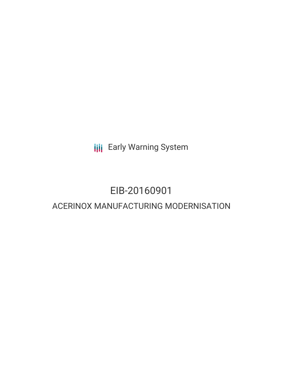**III** Early Warning System

# EIB-20160901 ACERINOX MANUFACTURING MODERNISATION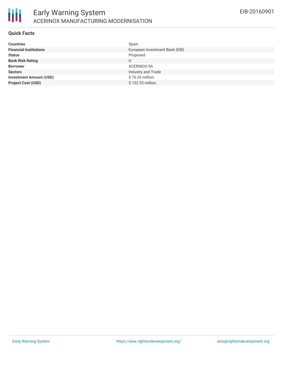

### **Quick Facts**

| <b>Financial Institutions</b><br>European Investment Bank (EIB)<br>Proposed<br><b>Status</b><br><b>Bank Risk Rating</b><br>U |
|------------------------------------------------------------------------------------------------------------------------------|
|                                                                                                                              |
|                                                                                                                              |
|                                                                                                                              |
| <b>Borrower</b><br>ACERINOX SA                                                                                               |
| Industry and Trade<br><b>Sectors</b>                                                                                         |
| $$76.26$ million<br><b>Investment Amount (USD)</b>                                                                           |
| <b>Project Cost (USD)</b><br>\$152.53 million                                                                                |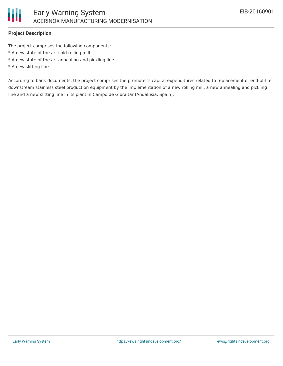

### **Project Description**

The project comprises the following components:

- \* A new state of the art cold rolling mill
- \* A new state of the art annealing and pickling line
- \* A new slitting line

According to bank documents, the project comprises the promoter's capital expenditures related to replacement of end-of-life downstream stainless steel production equipment by the implementation of a new rolling mill, a new annealing and pickling line and a new slitting line in its plant in Campo de Gibraltar (Andalusia, Spain).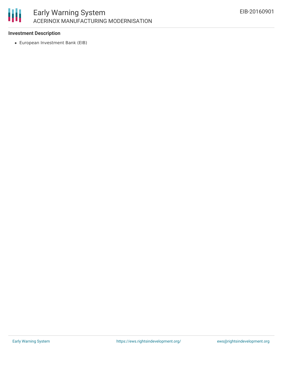

### **Investment Description**

European Investment Bank (EIB)